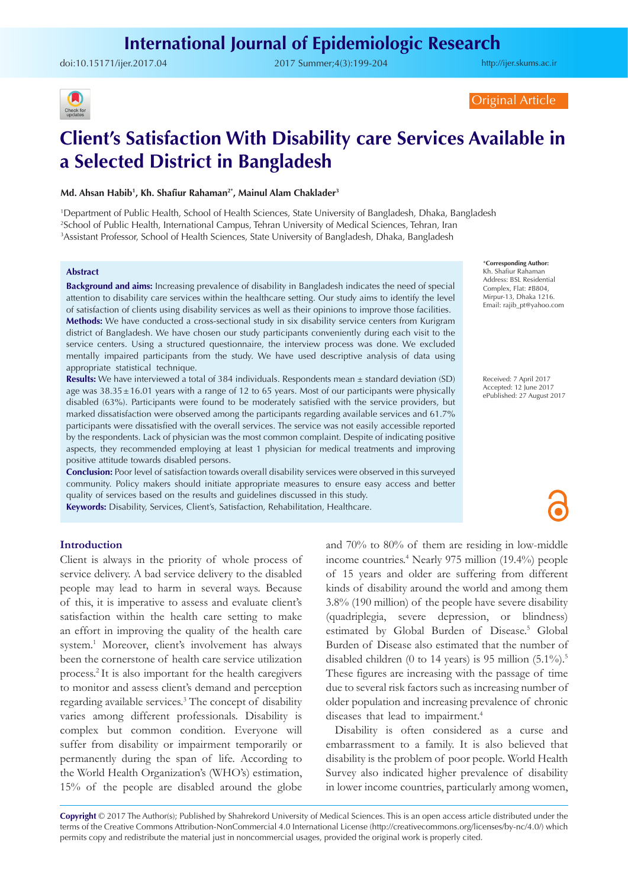doi:[10.15171/ijer.2017.04](http://dx.doi.org/10.15171/ijer.2017.04) 2017 Summer;4(3):199-204

<http://ijer.skums.ac.ir>



#### Original Article

# **Client's Satisfaction With Disability care Services Available in a Selected District in Bangladesh**

#### **Md. Ahsan Habib1 , Kh. Shafiur Rahaman2\*, Mainul Alam Chaklader3**

1 Department of Public Health, School of Health Sciences, State University of Bangladesh, Dhaka, Bangladesh 2 School of Public Health, International Campus, Tehran University of Medical Sciences, Tehran, Iran 3 Assistant Professor, School of Health Sciences, State University of Bangladesh, Dhaka, Bangladesh

#### **Abstract**

**Background and aims:** Increasing prevalence of disability in Bangladesh indicates the need of special attention to disability care services within the healthcare setting. Our study aims to identify the level of satisfaction of clients using disability services as well as their opinions to improve those facilities. **Methods:** We have conducted a cross-sectional study in six disability service centers from Kurigram district of Bangladesh. We have chosen our study participants conveniently during each visit to the service centers. Using a structured questionnaire, the interview process was done. We excluded mentally impaired participants from the study. We have used descriptive analysis of data using appropriate statistical technique.

**Results:** We have interviewed a total of 384 individuals. Respondents mean ± standard deviation (SD) age was 38.35±16.01 years with a range of 12 to 65 years. Most of our participants were physically disabled (63%). Participants were found to be moderately satisfied with the service providers, but marked dissatisfaction were observed among the participants regarding available services and 61.7% participants were dissatisfied with the overall services. The service was not easily accessible reported by the respondents. Lack of physician was the most common complaint. Despite of indicating positive aspects, they recommended employing at least 1 physician for medical treatments and improving positive attitude towards disabled persons.

**Conclusion:** Poor level of satisfaction towards overall disability services were observed in this surveyed community. Policy makers should initiate appropriate measures to ensure easy access and better quality of services based on the results and guidelines discussed in this study.

**Keywords:** Disability, Services, Client's, Satisfaction, Rehabilitation, Healthcare.

#### **Introduction**

Client is always in the priority of whole process of service delivery. A bad service delivery to the disabled people may lead to harm in several ways. Because of this, it is imperative to assess and evaluate client's satisfaction within the health care setting to make an effort in improving the quality of the health care system.1 Moreover, client's involvement has always been the cornerstone of health care service utilization process.2 It is also important for the health caregivers to monitor and assess client's demand and perception regarding available services.<sup>3</sup> The concept of disability varies among different professionals. Disability is complex but common condition. Everyone will suffer from disability or impairment temporarily or permanently during the span of life. According to the World Health Organization's (WHO's) estimation, 15% of the people are disabled around the globe

and 70% to 80% of them are residing in low-middle income countries.4 Nearly 975 million (19.4%) people of 15 years and older are suffering from different kinds of disability around the world and among them 3.8% (190 million) of the people have severe disability (quadriplegia, severe depression, or blindness) estimated by Global Burden of Disease.<sup>5</sup> Global Burden of Disease also estimated that the number of disabled children (0 to 14 years) is 95 million  $(5.1\%)$ <sup>5</sup>. These figures are increasing with the passage of time due to several risk factors such as increasing number of older population and increasing prevalence of chronic diseases that lead to impairment.<sup>4</sup>

Disability is often considered as a curse and embarrassment to a family. It is also believed that disability is the problem of poor people. World Health Survey also indicated higher prevalence of disability in lower income countries, particularly among women,

Copyright  $\oslash$  2017 The Author(s); Published by Shahrekord University of Medical Sciences. This is an open access article distributed under the terms of the Creative Commons Attribution-NonCommercial 4.0 International License (<http://creativecommons.org/licenses/by-nc/4.0/>) which permits copy and redistribute the material just in noncommercial usages, provided the original work is properly cited.

\***Corresponding Author:** Kh. Shafiur Rahaman Address: BSL Residential Complex, Flat: #B804, Mirpur-13, Dhaka 1216. Email: rajib\_pt@yahoo.com

Received: 7 April 2017 Accepted: 12 June 2017 ePublished: 27 August 2017

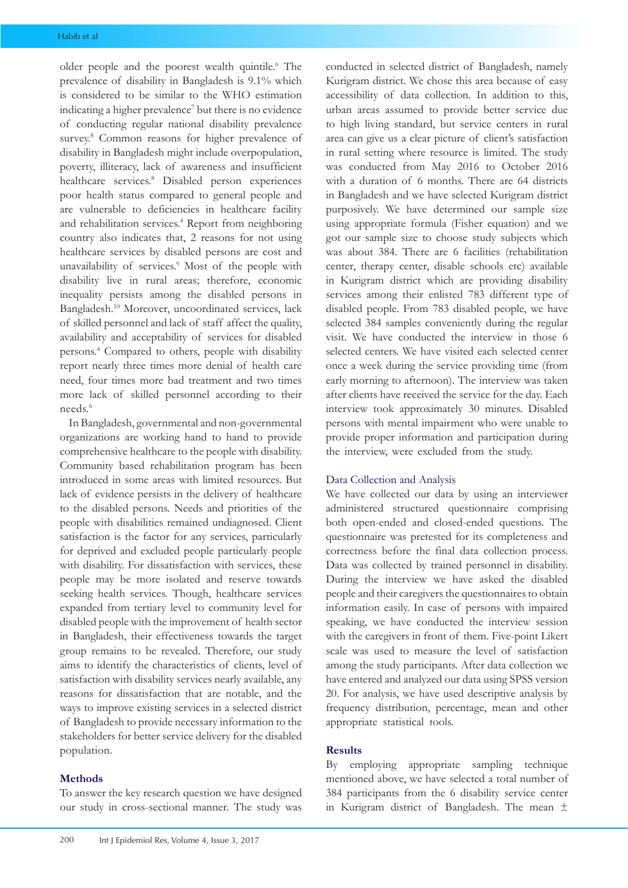older people and the poorest wealth quintile.<sup>6</sup> The prevalence of disability in Bangladesh is 9.1% which is considered to be similar to the WHO estimation indicating a higher prevalence<sup>7</sup> but there is no evidence of conducting regular national disability prevalence survey.<sup>8</sup> Common reasons for higher prevalence of disability in Bangladesh might include overpopulation, poverty, illiteracy, lack of awareness and insufficient healthcare services.<sup>8</sup> Disabled person experiences poor health status compared to general people and are vulnerable to deficiencies in healthcare facility and rehabilitation services.<sup>4</sup> Report from neighboring country also indicates that, 2 reasons for not using healthcare services by disabled persons are cost and unavailability of services.<sup>9</sup> Most of the people with disability live in rural areas; therefore, economic inequality persists among the disabled persons in Bangladesh.10 Moreover, uncoordinated services, lack of skilled personnel and lack of staff affect the quality, availability and acceptability of services for disabled persons.4 Compared to others, people with disability report nearly three times more denial of health care need, four times more bad treatment and two times more lack of skilled personnel according to their needs.6

In Bangladesh, governmental and non-governmental organizations are working hand to hand to provide comprehensive healthcare to the people with disability. Community based rehabilitation program has been introduced in some areas with limited resources. But lack of evidence persists in the delivery of healthcare to the disabled persons. Needs and priorities of the people with disabilities remained undiagnosed. Client satisfaction is the factor for any services, particularly for deprived and excluded people particularly people with disability. For dissatisfaction with services, these people may be more isolated and reserve towards seeking health services. Though, healthcare services expanded from tertiary level to community level for disabled people with the improvement of health sector in Bangladesh, their effectiveness towards the target group remains to be revealed. Therefore, our study aims to identify the characteristics of clients, level of satisfaction with disability services nearly available, any reasons for dissatisfaction that are notable, and the ways to improve existing services in a selected district of Bangladesh to provide necessary information to the stakeholders for better service delivery for the disabled population.

# **Methods**

To answer the key research question we have designed our study in cross-sectional manner. The study was conducted in selected district of Bangladesh, namely Kurigram district. We chose this area because of easy accessibility of data collection. In addition to this, urban areas assumed to provide better service due to high living standard, but service centers in rural area can give us a clear picture of client's satisfaction in rural setting where resource is limited. The study was conducted from May 2016 to October 2016 with a duration of 6 months. There are 64 districts in Bangladesh and we have selected Kurigram district purposively. We have determined our sample size using appropriate formula (Fisher equation) and we got our sample size to choose study subjects which was about 384. There are 6 facilities (rehabilitation center, therapy center, disable schools etc) available in Kurigram district which are providing disability services among their enlisted 783 different type of disabled people. From 783 disabled people, we have selected 384 samples conveniently during the regular visit. We have conducted the interview in those 6 selected centers. We have visited each selected center once a week during the service providing time (from early morning to afternoon). The interview was taken after clients have received the service for the day. Each interview took approximately 30 minutes. Disabled persons with mental impairment who were unable to provide proper information and participation during the interview, were excluded from the study.

# Data Collection and Analysis

We have collected our data by using an interviewer administered structured questionnaire comprising both open-ended and closed-ended questions. The questionnaire was pretested for its completeness and correctness before the final data collection process. Data was collected by trained personnel in disability. During the interview we have asked the disabled people and their caregivers the questionnaires to obtain information easily. In case of persons with impaired speaking, we have conducted the interview session with the caregivers in front of them. Five-point Likert scale was used to measure the level of satisfaction among the study participants. After data collection we have entered and analyzed our data using SPSS version 20. For analysis, we have used descriptive analysis by frequency distribution, percentage, mean and other appropriate statistical tools.

## **Results**

By employing appropriate sampling technique mentioned above, we have selected a total number of 384 participants from the 6 disability service center in Kurigram district of Bangladesh. The mean ±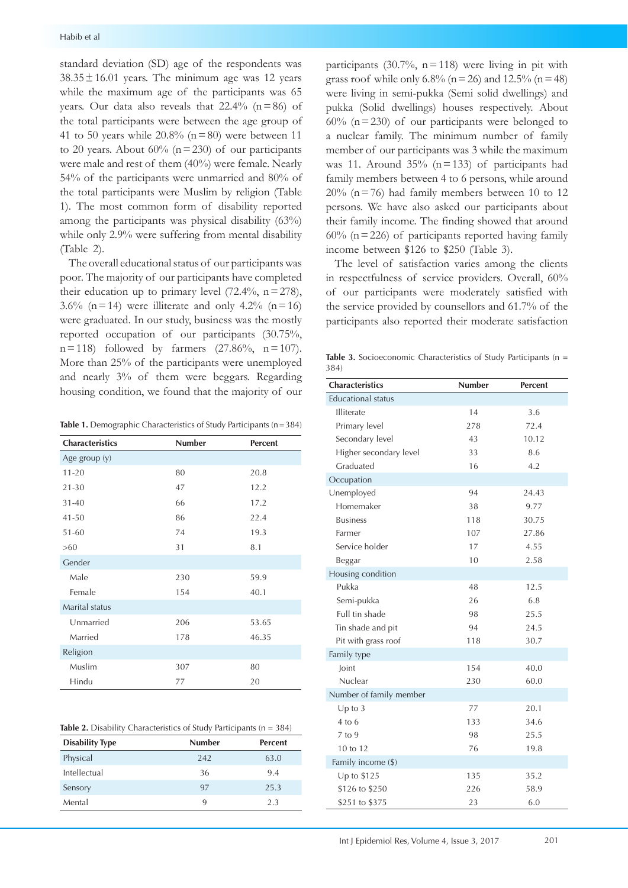standard deviation (SD) age of the respondents was  $38.35 \pm 16.01$  years. The minimum age was 12 years while the maximum age of the participants was 65 years. Our data also reveals that  $22.4\%$  (n=86) of the total participants were between the age group of 41 to 50 years while  $20.8\%$  (n = 80) were between 11 to 20 years. About  $60\%$  (n=230) of our participants were male and rest of them (40%) were female. Nearly 54% of the participants were unmarried and 80% of the total participants were Muslim by religion (Table 1). The most common form of disability reported among the participants was physical disability (63%) while only 2.9% were suffering from mental disability (Table 2).

The overall educational status of our participants was poor. The majority of our participants have completed their education up to primary level  $(72.4\%, n=278)$ , 3.6% (n=14) were illiterate and only 4.2% (n=16) were graduated. In our study, business was the mostly reported occupation of our participants (30.75%,  $n=118$ ) followed by farmers (27.86%,  $n=107$ ). More than 25% of the participants were unemployed and nearly 3% of them were beggars. Regarding housing condition, we found that the majority of our

Table 1. Demographic Characteristics of Study Participants (n=384)

| <b>Characteristics</b> | <b>Number</b> | <b>Percent</b> |  |  |
|------------------------|---------------|----------------|--|--|
| Age group (y)          |               |                |  |  |
| $11 - 20$              | 80            | 20.8           |  |  |
| $21 - 30$              | 47            | 12.2           |  |  |
| $31 - 40$              | 66            | 17.2           |  |  |
| $41 - 50$              | 86            | 22.4           |  |  |
| $51 - 60$              | 74            | 19.3           |  |  |
| >60                    | 31            | 8.1            |  |  |
| Gender                 |               |                |  |  |
| Male                   | 230           | 59.9           |  |  |
| Female                 | 154           | 40.1           |  |  |
| Marital status         |               |                |  |  |
| Unmarried              | 206           | 53.65          |  |  |
| Married                | 178           | 46.35          |  |  |
| Religion               |               |                |  |  |
| Muslim                 | 307           | 80             |  |  |
| Hindu                  | 77            | 20             |  |  |

|  |  |  |  |  |  |  |  | <b>Table 2.</b> Disability Characteristics of Study Participants ( $n = 384$ ) |  |
|--|--|--|--|--|--|--|--|--------------------------------------------------------------------------------|--|
|--|--|--|--|--|--|--|--|--------------------------------------------------------------------------------|--|

| <b>Disability Type</b> | <b>Number</b> | <b>Percent</b> |
|------------------------|---------------|----------------|
| Physical               | 242           | 63.0           |
| Intellectual           | 36            | 9.4            |
| Sensory                | 97            | 25.3           |
| Mental                 | 9             | 2.3            |

participants  $(30.7\%), n=118$  were living in pit with grass roof while only 6.8% ( $n = 26$ ) and 12.5% ( $n = 48$ ) were living in semi-pukka (Semi solid dwellings) and pukka (Solid dwellings) houses respectively. About  $60\%$  (n=230) of our participants were belonged to a nuclear family. The minimum number of family member of our participants was 3 while the maximum was 11. Around  $35\%$  (n=133) of participants had family members between 4 to 6 persons, while around  $20\%$  (n=76) had family members between 10 to 12 persons. We have also asked our participants about their family income. The finding showed that around  $60\%$  (n=226) of participants reported having family income between \$126 to \$250 (Table 3).

The level of satisfaction varies among the clients in respectfulness of service providers. Overall, 60% of our participants were moderately satisfied with the service provided by counsellors and 61.7% of the participants also reported their moderate satisfaction

**Table 3.** Socioeconomic Characteristics of Study Participants (n = 384)

| <b>Characteristics</b>    | <b>Number</b> | <b>Percent</b> |
|---------------------------|---------------|----------------|
| <b>Educational status</b> |               |                |
| Illiterate                | 14            | 3.6            |
| Primary level             | 278           | 72.4           |
| Secondary level           | 43            | 10.12          |
| Higher secondary level    | 33            | 8.6            |
| Graduated                 | 16            | 4.2            |
| Occupation                |               |                |
| Unemployed                | 94            | 24.43          |
| Homemaker                 | 38            | 9.77           |
| <b>Business</b>           | 118           | 30.75          |
| Farmer                    | 107           | 27.86          |
| Service holder            | 17            | 4.55           |
| Beggar                    | 10            | 2.58           |
| Housing condition         |               |                |
| Pukka                     | 48            | 12.5           |
| Semi-pukka                | 26            | 6.8            |
| Full tin shade            | 98            | 25.5           |
| Tin shade and pit         | 94            | 24.5           |
| Pit with grass roof       | 118           | 30.7           |
| Family type               |               |                |
| Joint                     | 154           | 40.0           |
| Nuclear                   | 230           | 60.0           |
| Number of family member   |               |                |
| $Up$ to 3                 | 77            | 20.1           |
| $4$ to $6$                | 133           | 34.6           |
| 7 to 9                    | 98            | 25.5           |
| 10 to 12                  | 76            | 19.8           |
| Family income (\$)        |               |                |
| Up to \$125               | 135           | 35.2           |
| \$126 to \$250            | 226           | 58.9           |
| \$251 to \$375            | 23            | 6.0            |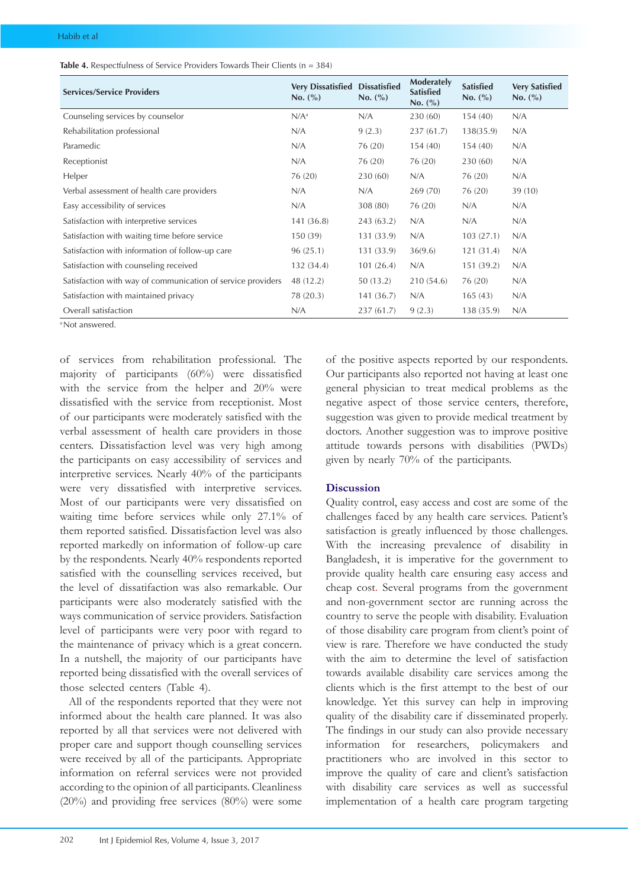|  |  | <b>Table 4.</b> Respectfulness of Service Providers Towards Their Clients ( $n = 384$ ) |
|--|--|-----------------------------------------------------------------------------------------|
|--|--|-----------------------------------------------------------------------------------------|

| <b>Services/Service Providers</b>                           | <b>Very Dissatisfied</b><br>No. (%) | <b>Dissatisfied</b><br>No. (%) | Moderately<br><b>Satisfied</b><br>No. (%) | <b>Satisfied</b><br>No. (%) | <b>Very Satisfied</b><br>No. (%) |
|-------------------------------------------------------------|-------------------------------------|--------------------------------|-------------------------------------------|-----------------------------|----------------------------------|
| Counseling services by counselor                            | $N/A^a$                             | N/A                            | 230 (60)                                  | 154(40)                     | N/A                              |
| Rehabilitation professional                                 | N/A                                 | 9(2.3)                         | 237(61.7)                                 | 138(35.9)                   | N/A                              |
| Paramedic                                                   | N/A                                 | 76 (20)                        | 154(40)                                   | 154(40)                     | N/A                              |
| Receptionist                                                | N/A                                 | 76 (20)                        | 76 (20)                                   | 230(60)                     | N/A                              |
| Helper                                                      | 76 (20)                             | 230 (60)                       | N/A                                       | 76 (20)                     | N/A                              |
| Verbal assessment of health care providers                  | N/A                                 | N/A                            | 269 (70)                                  | 76 (20)                     | 39(10)                           |
| Easy accessibility of services                              | N/A                                 | 308 (80)                       | 76 (20)                                   | N/A                         | N/A                              |
| Satisfaction with interpretive services                     | 141 (36.8)                          | 243 (63.2)                     | N/A                                       | N/A                         | N/A                              |
| Satisfaction with waiting time before service               | 150 (39)                            | 131 (33.9)                     | N/A                                       | 103(27.1)                   | N/A                              |
| Satisfaction with information of follow-up care             | 96(25.1)                            | 131 (33.9)                     | 36(9.6)                                   | 121(31.4)                   | N/A                              |
| Satisfaction with counseling received                       | 132 (34.4)                          | 101(26.4)                      | N/A                                       | 151 (39.2)                  | N/A                              |
| Satisfaction with way of communication of service providers | 48 (12.2)                           | 50(13.2)                       | 210 (54.6)                                | 76 (20)                     | N/A                              |
| Satisfaction with maintained privacy                        | 78 (20.3)                           | 141(36.7)                      | N/A                                       | 165(43)                     | N/A                              |
| Overall satisfaction                                        | N/A                                 | 237(61.7)                      | 9(2.3)                                    | 138 (35.9)                  | N/A                              |
| <sup>a</sup> Not answered                                   |                                     |                                |                                           |                             |                                  |

of services from rehabilitation professional. The majority of participants (60%) were dissatisfied with the service from the helper and 20% were dissatisfied with the service from receptionist. Most of our participants were moderately satisfied with the verbal assessment of health care providers in those centers. Dissatisfaction level was very high among the participants on easy accessibility of services and interpretive services. Nearly 40% of the participants were very dissatisfied with interpretive services. Most of our participants were very dissatisfied on waiting time before services while only 27.1% of them reported satisfied. Dissatisfaction level was also reported markedly on information of follow-up care by the respondents. Nearly 40% respondents reported satisfied with the counselling services received, but the level of dissatifaction was also remarkable. Our participants were also moderately satisfied with the ways communication of service providers. Satisfaction level of participants were very poor with regard to the maintenance of privacy which is a great concern. In a nutshell, the majority of our participants have reported being dissatisfied with the overall services of those selected centers (Table 4).

All of the respondents reported that they were not informed about the health care planned. It was also reported by all that services were not delivered with proper care and support though counselling services were received by all of the participants. Appropriate information on referral services were not provided according to the opinion of all participants. Cleanliness (20%) and providing free services (80%) were some of the positive aspects reported by our respondents. Our participants also reported not having at least one general physician to treat medical problems as the negative aspect of those service centers, therefore, suggestion was given to provide medical treatment by doctors. Another suggestion was to improve positive attitude towards persons with disabilities (PWDs) given by nearly 70% of the participants.

# **Discussion**

Quality control, easy access and cost are some of the challenges faced by any health care services. Patient's satisfaction is greatly influenced by those challenges. With the increasing prevalence of disability in Bangladesh, it is imperative for the government to provide quality health care ensuring easy access and cheap cost. Several programs from the government and non-government sector are running across the country to serve the people with disability. Evaluation of those disability care program from client's point of view is rare. Therefore we have conducted the study with the aim to determine the level of satisfaction towards available disability care services among the clients which is the first attempt to the best of our knowledge. Yet this survey can help in improving quality of the disability care if disseminated properly. The findings in our study can also provide necessary information for researchers, policymakers and practitioners who are involved in this sector to improve the quality of care and client's satisfaction with disability care services as well as successful implementation of a health care program targeting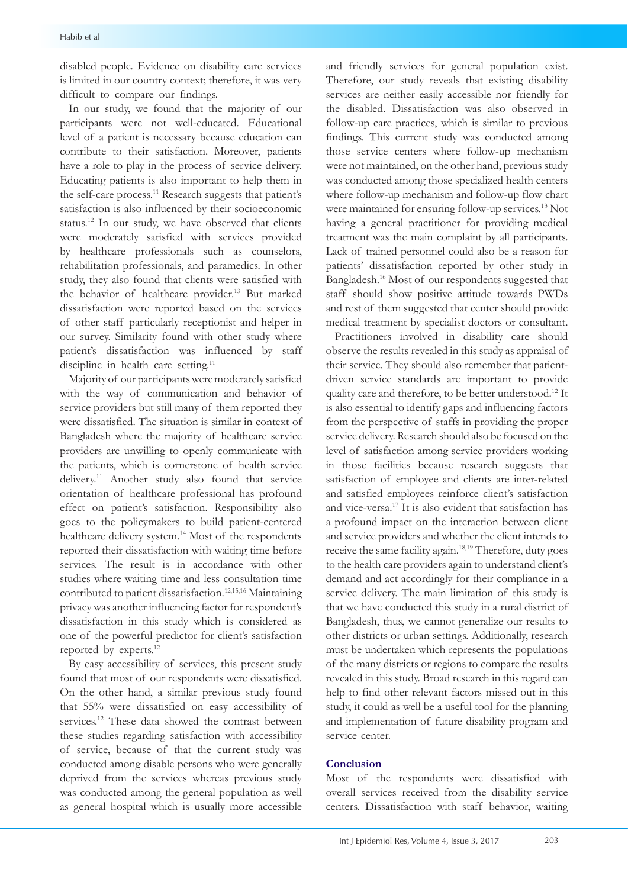disabled people. Evidence on disability care services is limited in our country context; therefore, it was very difficult to compare our findings.

In our study, we found that the majority of our participants were not well-educated. Educational level of a patient is necessary because education can contribute to their satisfaction. Moreover, patients have a role to play in the process of service delivery. Educating patients is also important to help them in the self-care process.<sup>11</sup> Research suggests that patient's satisfaction is also influenced by their socioeconomic status.12 In our study, we have observed that clients were moderately satisfied with services provided by healthcare professionals such as counselors, rehabilitation professionals, and paramedics. In other study, they also found that clients were satisfied with the behavior of healthcare provider.<sup>13</sup> But marked dissatisfaction were reported based on the services of other staff particularly receptionist and helper in our survey. Similarity found with other study where patient's dissatisfaction was influenced by staff discipline in health care setting.<sup>11</sup>

Majority of our participants were moderately satisfied with the way of communication and behavior of service providers but still many of them reported they were dissatisfied. The situation is similar in context of Bangladesh where the majority of healthcare service providers are unwilling to openly communicate with the patients, which is cornerstone of health service delivery.11 Another study also found that service orientation of healthcare professional has profound effect on patient's satisfaction. Responsibility also goes to the policymakers to build patient-centered healthcare delivery system.<sup>14</sup> Most of the respondents reported their dissatisfaction with waiting time before services. The result is in accordance with other studies where waiting time and less consultation time contributed to patient dissatisfaction.12,15,16 Maintaining privacy was another influencing factor for respondent's dissatisfaction in this study which is considered as one of the powerful predictor for client's satisfaction reported by experts.12

By easy accessibility of services, this present study found that most of our respondents were dissatisfied. On the other hand, a similar previous study found that 55% were dissatisfied on easy accessibility of services.<sup>12</sup> These data showed the contrast between these studies regarding satisfaction with accessibility of service, because of that the current study was conducted among disable persons who were generally deprived from the services whereas previous study was conducted among the general population as well as general hospital which is usually more accessible and friendly services for general population exist. Therefore, our study reveals that existing disability services are neither easily accessible nor friendly for the disabled. Dissatisfaction was also observed in follow-up care practices, which is similar to previous findings. This current study was conducted among those service centers where follow-up mechanism were not maintained, on the other hand, previous study was conducted among those specialized health centers where follow-up mechanism and follow-up flow chart were maintained for ensuring follow-up services.<sup>13</sup> Not having a general practitioner for providing medical treatment was the main complaint by all participants. Lack of trained personnel could also be a reason for patients' dissatisfaction reported by other study in Bangladesh.16 Most of our respondents suggested that staff should show positive attitude towards PWDs and rest of them suggested that center should provide medical treatment by specialist doctors or consultant.

Practitioners involved in disability care should observe the results revealed in this study as appraisal of their service. They should also remember that patientdriven service standards are important to provide quality care and therefore, to be better understood.12 It is also essential to identify gaps and influencing factors from the perspective of staffs in providing the proper service delivery. Research should also be focused on the level of satisfaction among service providers working in those facilities because research suggests that satisfaction of employee and clients are inter-related and satisfied employees reinforce client's satisfaction and vice-versa.17 It is also evident that satisfaction has a profound impact on the interaction between client and service providers and whether the client intends to receive the same facility again.18,19 Therefore, duty goes to the health care providers again to understand client's demand and act accordingly for their compliance in a service delivery. The main limitation of this study is that we have conducted this study in a rural district of Bangladesh, thus, we cannot generalize our results to other districts or urban settings. Additionally, research must be undertaken which represents the populations of the many districts or regions to compare the results revealed in this study. Broad research in this regard can help to find other relevant factors missed out in this study, it could as well be a useful tool for the planning and implementation of future disability program and service center.

#### **Conclusion**

Most of the respondents were dissatisfied with overall services received from the disability service centers. Dissatisfaction with staff behavior, waiting